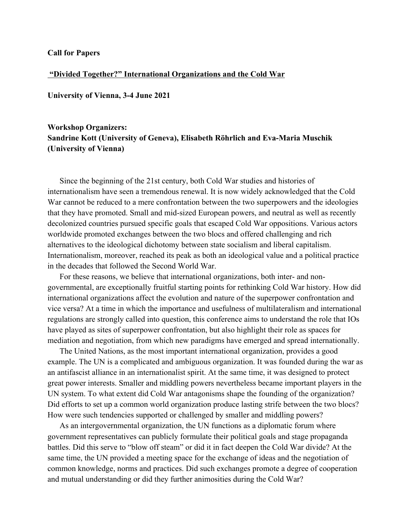#### **Call for Papers**

#### **"Divided Together?" International Organizations and the Cold War**

**University of Vienna, 3-4 June 2021**

## **Workshop Organizers: Sandrine Kott (University of Geneva), Elisabeth Röhrlich and Eva-Maria Muschik (University of Vienna)**

Since the beginning of the 21st century, both Cold War studies and histories of internationalism have seen a tremendous renewal. It is now widely acknowledged that the Cold War cannot be reduced to a mere confrontation between the two superpowers and the ideologies that they have promoted. Small and mid-sized European powers, and neutral as well as recently decolonized countries pursued specific goals that escaped Cold War oppositions. Various actors worldwide promoted exchanges between the two blocs and offered challenging and rich alternatives to the ideological dichotomy between state socialism and liberal capitalism. Internationalism, moreover, reached its peak as both an ideological value and a political practice in the decades that followed the Second World War.

For these reasons, we believe that international organizations, both inter- and nongovernmental, are exceptionally fruitful starting points for rethinking Cold War history. How did international organizations affect the evolution and nature of the superpower confrontation and vice versa? At a time in which the importance and usefulness of multilateralism and international regulations are strongly called into question, this conference aims to understand the role that IOs have played as sites of superpower confrontation, but also highlight their role as spaces for mediation and negotiation, from which new paradigms have emerged and spread internationally.

The United Nations, as the most important international organization, provides a good example. The UN is a complicated and ambiguous organization. It was founded during the war as an antifascist alliance in an internationalist spirit. At the same time, it was designed to protect great power interests. Smaller and middling powers nevertheless became important players in the UN system. To what extent did Cold War antagonisms shape the founding of the organization? Did efforts to set up a common world organization produce lasting strife between the two blocs? How were such tendencies supported or challenged by smaller and middling powers?

As an intergovernmental organization, the UN functions as a diplomatic forum where government representatives can publicly formulate their political goals and stage propaganda battles. Did this serve to "blow off steam" or did it in fact deepen the Cold War divide? At the same time, the UN provided a meeting space for the exchange of ideas and the negotiation of common knowledge, norms and practices. Did such exchanges promote a degree of cooperation and mutual understanding or did they further animosities during the Cold War?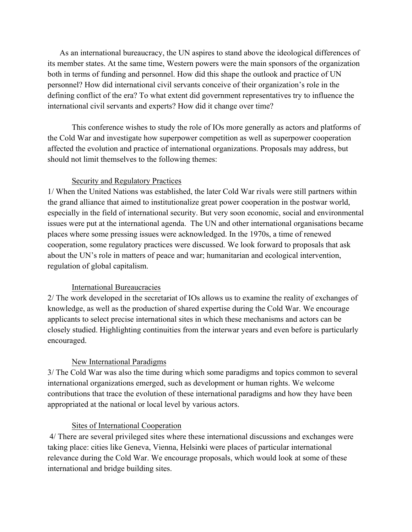As an international bureaucracy, the UN aspires to stand above the ideological differences of its member states. At the same time, Western powers were the main sponsors of the organization both in terms of funding and personnel. How did this shape the outlook and practice of UN personnel? How did international civil servants conceive of their organization's role in the defining conflict of the era? To what extent did government representatives try to influence the international civil servants and experts? How did it change over time?

This conference wishes to study the role of IOs more generally as actors and platforms of the Cold War and investigate how superpower competition as well as superpower cooperation affected the evolution and practice of international organizations. Proposals may address, but should not limit themselves to the following themes:

### Security and Regulatory Practices

1/ When the United Nations was established, the later Cold War rivals were still partners within the grand alliance that aimed to institutionalize great power cooperation in the postwar world, especially in the field of international security. But very soon economic, social and environmental issues were put at the international agenda. The UN and other international organisations became places where some pressing issues were acknowledged. In the 1970s, a time of renewed cooperation, some regulatory practices were discussed. We look forward to proposals that ask about the UN's role in matters of peace and war; humanitarian and ecological intervention, regulation of global capitalism.

# International Bureaucracies

2/ The work developed in the secretariat of IOs allows us to examine the reality of exchanges of knowledge, as well as the production of shared expertise during the Cold War. We encourage applicants to select precise international sites in which these mechanisms and actors can be closely studied. Highlighting continuities from the interwar years and even before is particularly encouraged.

# New International Paradigms

3/ The Cold War was also the time during which some paradigms and topics common to several international organizations emerged, such as development or human rights. We welcome contributions that trace the evolution of these international paradigms and how they have been appropriated at the national or local level by various actors.

# Sites of International Cooperation

4/ There are several privileged sites where these international discussions and exchanges were taking place: cities like Geneva, Vienna, Helsinki were places of particular international relevance during the Cold War. We encourage proposals, which would look at some of these international and bridge building sites.